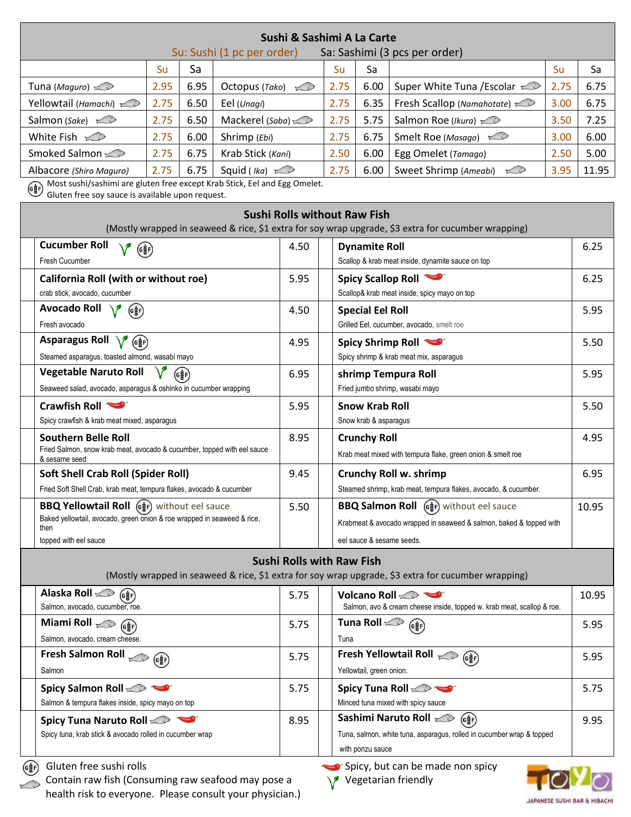| Sushi & Sashimi A La Carte<br>Su: Sushi (1 pc per order)<br>Sa: Sashimi (3 pcs per order)                                                                                                                     |                                                                  |                   |                         |                                  |                                                                                           |                                                                     |                                                                                                     |       |       |  |  |  |  |
|---------------------------------------------------------------------------------------------------------------------------------------------------------------------------------------------------------------|------------------------------------------------------------------|-------------------|-------------------------|----------------------------------|-------------------------------------------------------------------------------------------|---------------------------------------------------------------------|-----------------------------------------------------------------------------------------------------|-------|-------|--|--|--|--|
|                                                                                                                                                                                                               | Su                                                               | Sa                |                         |                                  | Su                                                                                        | Sa                                                                  |                                                                                                     | Su    | Sa    |  |  |  |  |
| Tuna (Maguro) $\gg$                                                                                                                                                                                           | 2.95                                                             | 6.95              | Octopus (Tako) $\infty$ |                                  | 2.75                                                                                      | 6.00                                                                | Super White Tuna / Escolar                                                                          | 2.75  | 6.75  |  |  |  |  |
| Yellowtail (Hamachi)                                                                                                                                                                                          | 2.75                                                             | 6.50              | Eel (Unagi)             |                                  | 2.75                                                                                      | 6.35                                                                | Fresh Scallop (Namahotate)                                                                          | 3.00  | 6.75  |  |  |  |  |
| Salmon (Sake) $\infty$                                                                                                                                                                                        | 2.75                                                             | 6.50              | Mackerel (Saba)         |                                  | 2.75                                                                                      | 5.75                                                                | Salmon Roe (Ikura)                                                                                  | 3.50  | 7.25  |  |  |  |  |
| White Fish $\gg$                                                                                                                                                                                              | 2.75                                                             | 6.00              | Shrimp (Ebi)            |                                  | 2.75                                                                                      | 6.75                                                                | Smelt Roe (Masago)                                                                                  | 3.00  | 6.00  |  |  |  |  |
| Smoked Salmon                                                                                                                                                                                                 | 2.75                                                             | 6.75              | Krab Stick (Kani)       |                                  | 2.50                                                                                      | 6.00                                                                | Egg Omelet (Tamago)                                                                                 | 2.50  | 5.00  |  |  |  |  |
| 2.75<br>6.75<br>Squid ( <i>Ika</i> ) $\gg$<br>Albacore (Shiro Maguro)                                                                                                                                         |                                                                  |                   |                         | 2.75                             | 6.00                                                                                      | Sweet Shrimp (Ameabi)<br>Li                                         | 3.95                                                                                                | 11.95 |       |  |  |  |  |
| Most sushi/sashimi are gluten free except Krab Stick, Eel and Egg Omelet.<br>$\begin{pmatrix} 0 & 0 \\ 0 & 0 \end{pmatrix}$<br>Gluten free soy sauce is available upon request.                               |                                                                  |                   |                         |                                  |                                                                                           |                                                                     |                                                                                                     |       |       |  |  |  |  |
| <b>Sushi Rolls without Raw Fish</b><br>(Mostly wrapped in seaweed & rice, \$1 extra for soy wrap upgrade, \$3 extra for cucumber wrapping)                                                                    |                                                                  |                   |                         |                                  |                                                                                           |                                                                     |                                                                                                     |       |       |  |  |  |  |
| <b>Cucumber Roll</b>                                                                                                                                                                                          |                                                                  |                   |                         | 4.50                             | <b>Dynamite Roll</b>                                                                      |                                                                     |                                                                                                     |       | 6.25  |  |  |  |  |
| Fresh Cucumber                                                                                                                                                                                                | $($ G $\frac{1}{8}$ F)                                           |                   |                         |                                  |                                                                                           |                                                                     | Scallop & krab meat inside, dynamite sauce on top                                                   |       |       |  |  |  |  |
| California Roll (with or without roe)                                                                                                                                                                         |                                                                  |                   |                         | 5.95                             | Spicy Scallop Roll<br>Scallop& krab meat inside, spicy mayo on top                        |                                                                     |                                                                                                     |       | 6.25  |  |  |  |  |
| crab stick, avocado, cucumber                                                                                                                                                                                 |                                                                  |                   |                         |                                  |                                                                                           |                                                                     |                                                                                                     |       |       |  |  |  |  |
| Avocado Roll \/<br>(G햫F)                                                                                                                                                                                      |                                                                  |                   |                         |                                  | <b>Special Eel Roll</b>                                                                   |                                                                     |                                                                                                     |       | 5.95  |  |  |  |  |
| Fresh avocado                                                                                                                                                                                                 |                                                                  |                   |                         |                                  | Grilled Eel, cucumber, avocado, smelt roe                                                 |                                                                     |                                                                                                     |       |       |  |  |  |  |
| Asparagus Roll V (6)                                                                                                                                                                                          |                                                                  |                   |                         | 4.95                             |                                                                                           | Spicy Shrimp Roll                                                   |                                                                                                     |       | 5.50  |  |  |  |  |
| Steamed asparagus, toasted almond, wasabi mayo                                                                                                                                                                |                                                                  |                   |                         |                                  |                                                                                           |                                                                     | Spicy shrimp & krab meat mix, asparagus                                                             |       |       |  |  |  |  |
| <b>Vegetable Naruto Roll</b>                                                                                                                                                                                  |                                                                  | $(G\frac{1}{8}F)$ |                         | 6.95                             |                                                                                           |                                                                     | shrimp Tempura Roll                                                                                 |       | 5.95  |  |  |  |  |
|                                                                                                                                                                                                               | Seaweed salad, avocado, asparagus & oshinko in cucumber wrapping |                   |                         |                                  |                                                                                           | Fried jumbo shrimp, wasabi mayo                                     |                                                                                                     |       |       |  |  |  |  |
|                                                                                                                                                                                                               | Crawfish Roll                                                    |                   |                         |                                  |                                                                                           | <b>Snow Krab Roll</b><br>Snow krab & asparagus                      |                                                                                                     |       | 5.50  |  |  |  |  |
|                                                                                                                                                                                                               | Spicy crawfish & krab meat mixed, asparagus                      |                   |                         |                                  |                                                                                           |                                                                     |                                                                                                     |       | 4.95  |  |  |  |  |
| <b>Southern Belle Roll</b><br>Fried Salmon, snow krab meat, avocado & cucumber, topped with eel sauce                                                                                                         |                                                                  |                   |                         | 8.95                             |                                                                                           | <b>Crunchy Roll</b>                                                 | Krab meat mixed with tempura flake, green onion & smelt roe                                         |       |       |  |  |  |  |
| & sesame seed                                                                                                                                                                                                 |                                                                  |                   |                         |                                  |                                                                                           |                                                                     |                                                                                                     |       |       |  |  |  |  |
| <b>Soft Shell Crab Roll (Spider Roll)</b><br>Fried Soft Shell Crab, krab meat, tempura flakes, avocado & cucumber                                                                                             |                                                                  | 9.45              |                         |                                  | Crunchy Roll w. shrimp<br>Steamed shrimp, krab meat, tempura flakes, avocado, & cucumber. |                                                                     | 6.95                                                                                                |       |       |  |  |  |  |
|                                                                                                                                                                                                               |                                                                  | 5.50              |                         |                                  | BBQ Salmon Roll (s) without eel sauce                                                     |                                                                     | 10.95                                                                                               |       |       |  |  |  |  |
| BBQ Yellowtail Roll (e $\frac{1}{2}$ F) without eel sauce<br>Baked yellowtail, avocado, green onion & roe wrapped in seaweed & rice,                                                                          |                                                                  |                   |                         |                                  |                                                                                           | Krabmeat & avocado wrapped in seaweed & salmon, baked & topped with |                                                                                                     |       |       |  |  |  |  |
| then<br>topped with eel sauce                                                                                                                                                                                 |                                                                  |                   |                         | eel sauce & sesame seeds.        |                                                                                           |                                                                     |                                                                                                     |       |       |  |  |  |  |
|                                                                                                                                                                                                               |                                                                  |                   |                         |                                  |                                                                                           |                                                                     |                                                                                                     |       |       |  |  |  |  |
|                                                                                                                                                                                                               |                                                                  |                   |                         | <b>Sushi Rolls with Raw Fish</b> |                                                                                           |                                                                     | (Mostly wrapped in seaweed & rice, \$1 extra for soy wrap upgrade, \$3 extra for cucumber wrapping) |       |       |  |  |  |  |
| Salmon, avocado, cucumber, roe.                                                                                                                                                                               | Alaska Roll <a> (GğF)</a>                                        |                   |                         |                                  |                                                                                           |                                                                     | Volcano Roll<br>Salmon, avo & cream cheese inside, topped w. krab meat, scallop & roe.              |       | 10.95 |  |  |  |  |
| Miami Roll $\gg$<br>( <sub>e</sub> 흟)                                                                                                                                                                         |                                                                  |                   |                         |                                  |                                                                                           | Tuna Roll $\gg$                                                     | $(G_{\xi}^{\star})$                                                                                 |       | 5.95  |  |  |  |  |
| Salmon, avocado, cream cheese.                                                                                                                                                                                |                                                                  |                   |                         |                                  | Tuna                                                                                      |                                                                     |                                                                                                     |       |       |  |  |  |  |
| Fresh Salmon Roll $\left(\begin{smallmatrix} \mathbf{G} \ \mathbf{G} \ \mathbf{G} \end{smallmatrix}\right)$                                                                                                   |                                                                  | 5.75              |                         |                                  | Fresh Yellowtail Roll ( $\mathcal{C}(\mathbf{C}^*_{\mathbf{S}^F})$                        |                                                                     | 5.95                                                                                                |       |       |  |  |  |  |
| Salmon                                                                                                                                                                                                        |                                                                  |                   |                         |                                  |                                                                                           | Yellowtail, green onion.                                            |                                                                                                     |       |       |  |  |  |  |
|                                                                                                                                                                                                               | Spicy Salmon Roll                                                |                   |                         |                                  |                                                                                           |                                                                     | Spicy Tuna Roll                                                                                     |       | 5.75  |  |  |  |  |
| Salmon & tempura flakes inside, spicy mayo on top                                                                                                                                                             |                                                                  | 8.95              |                         |                                  | Minced tuna mixed with spicy sauce<br>Sashimi Naruto Roll <a> (G\\\frac{\math}</a>        |                                                                     |                                                                                                     |       |       |  |  |  |  |
| Spicy Tuna Naruto Roll<br>Spicy tuna, krab stick & avocado rolled in cucumber wrap                                                                                                                            |                                                                  |                   |                         |                                  |                                                                                           |                                                                     | Tuna, salmon, white tuna, asparagus, rolled in cucumber wrap & topped                               |       | 9.95  |  |  |  |  |
|                                                                                                                                                                                                               |                                                                  |                   |                         |                                  | with ponzu sauce                                                                          |                                                                     |                                                                                                     |       |       |  |  |  |  |
| Gluten free sushi rolls<br>Spicy, but can be made non spicy<br>(e햫F)<br>Contain raw fish (Consuming raw seafood may pose a<br>Vegetarian friendly<br>health risk to everyone. Please consult your physician.) |                                                                  |                   |                         |                                  |                                                                                           |                                                                     |                                                                                                     |       |       |  |  |  |  |